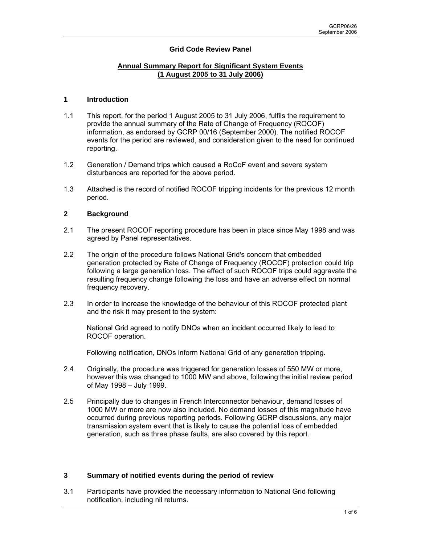# **Grid Code Review Panel**

### **Annual Summary Report for Significant System Events (1 August 2005 to 31 July 2006)**

#### **1 Introduction**

- 1.1 This report, for the period 1 August 2005 to 31 July 2006, fulfils the requirement to provide the annual summary of the Rate of Change of Frequency (ROCOF) information, as endorsed by GCRP 00/16 (September 2000). The notified ROCOF events for the period are reviewed, and consideration given to the need for continued reporting.
- 1.2 Generation / Demand trips which caused a RoCoF event and severe system disturbances are reported for the above period.
- 1.3 Attached is the record of notified ROCOF tripping incidents for the previous 12 month period.

### **2 Background**

- 2.1 The present ROCOF reporting procedure has been in place since May 1998 and was agreed by Panel representatives.
- 2.2 The origin of the procedure follows National Grid's concern that embedded generation protected by Rate of Change of Frequency (ROCOF) protection could trip following a large generation loss. The effect of such ROCOF trips could aggravate the resulting frequency change following the loss and have an adverse effect on normal frequency recovery.
- 2.3 In order to increase the knowledge of the behaviour of this ROCOF protected plant and the risk it may present to the system:

National Grid agreed to notify DNOs when an incident occurred likely to lead to ROCOF operation.

Following notification, DNOs inform National Grid of any generation tripping.

- 2.4 Originally, the procedure was triggered for generation losses of 550 MW or more, however this was changed to 1000 MW and above, following the initial review period of May 1998 – July 1999.
- 2.5 Principally due to changes in French Interconnector behaviour, demand losses of 1000 MW or more are now also included. No demand losses of this magnitude have occurred during previous reporting periods. Following GCRP discussions, any major transmission system event that is likely to cause the potential loss of embedded generation, such as three phase faults, are also covered by this report.

### **3 Summary of notified events during the period of review**

3.1 Participants have provided the necessary information to National Grid following notification, including nil returns.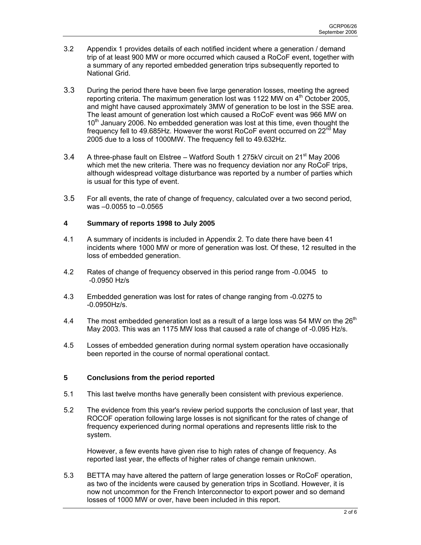- 3.2 Appendix 1 provides details of each notified incident where a generation / demand trip of at least 900 MW or more occurred which caused a RoCoF event, together with a summary of any reported embedded generation trips subsequently reported to National Grid.
- 3.3 During the period there have been five large generation losses, meeting the agreed reporting criteria. The maximum generation lost was 1122 MW on  $4<sup>th</sup>$  October 2005, and might have caused approximately 3MW of generation to be lost in the SSE area. The least amount of generation lost which caused a RoCoF event was 966 MW on 10<sup>th</sup> January 2006. No embedded generation was lost at this time, even thought the frequency fell to 49.685Hz. However the worst RoCoF event occurred on  $22^{nd}$  May 2005 due to a loss of 1000MW. The frequency fell to 49.632Hz.
- 3.4 A three-phase fault on Elstree Watford South 1 275kV circuit on  $21^{st}$  May 2006 which met the new criteria. There was no frequency deviation nor any RoCoF trips, although widespread voltage disturbance was reported by a number of parties which is usual for this type of event.
- 3.5 For all events, the rate of change of frequency, calculated over a two second period, was –0.0055 to –0.0565

### **4 Summary of reports 1998 to July 2005**

- 4.1 A summary of incidents is included in Appendix 2. To date there have been 41 incidents where 1000 MW or more of generation was lost. Of these, 12 resulted in the loss of embedded generation.
- 4.2 Rates of change of frequency observed in this period range from -0.0045 to -0.0950 Hz/s
- 4.3 Embedded generation was lost for rates of change ranging from -0.0275 to -0.0950Hz/s.
- 4.4 The most embedded generation lost as a result of a large loss was 54 MW on the 26<sup>th</sup> May 2003. This was an 1175 MW loss that caused a rate of change of -0.095 Hz/s.
- 4.5 Losses of embedded generation during normal system operation have occasionally been reported in the course of normal operational contact.

### **5 Conclusions from the period reported**

- 5.1 This last twelve months have generally been consistent with previous experience.
- 5.2 The evidence from this year's review period supports the conclusion of last year, that ROCOF operation following large losses is not significant for the rates of change of frequency experienced during normal operations and represents little risk to the system.

However, a few events have given rise to high rates of change of frequency. As reported last year, the effects of higher rates of change remain unknown.

5.3 BETTA may have altered the pattern of large generation losses or RoCoF operation, as two of the incidents were caused by generation trips in Scotland. However, it is now not uncommon for the French Interconnector to export power and so demand losses of 1000 MW or over, have been included in this report.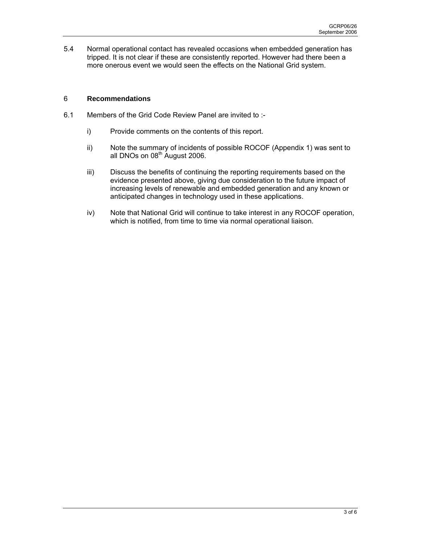5.4 Normal operational contact has revealed occasions when embedded generation has tripped. It is not clear if these are consistently reported. However had there been a more onerous event we would seen the effects on the National Grid system.

## 6 **Recommendations**

- 6.1 Members of the Grid Code Review Panel are invited to :
	- i) Provide comments on the contents of this report.
	- ii) Note the summary of incidents of possible ROCOF (Appendix 1) was sent to all DNOs on  $08<sup>th</sup>$  August 2006.
	- iii) Discuss the benefits of continuing the reporting requirements based on the evidence presented above, giving due consideration to the future impact of increasing levels of renewable and embedded generation and any known or anticipated changes in technology used in these applications.
	- iv) Note that National Grid will continue to take interest in any ROCOF operation, which is notified, from time to time via normal operational liaison.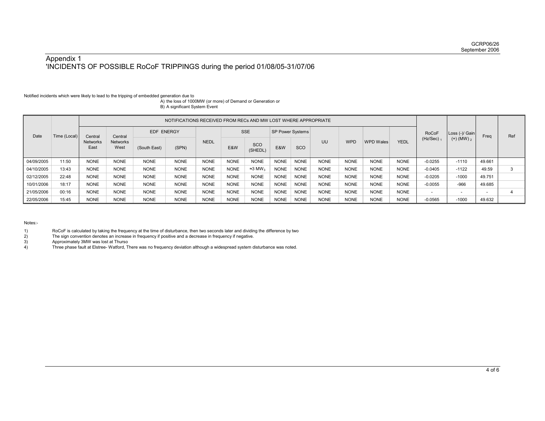### Appendix 1 'INCIDENTS OF POSSIBLE RoCoF TRIPPINGS during the period 01/08/05-31/07/06

#### Notified incidents which were likely to lead to the tripping of embedded generation due to

A) the loss of 1000MW (or more) of Demand or Generation or B) A significant System Event

| Date       | Time (Local) | NOTIFICATIONS RECEIVED FROM RECs AND MW LOST WHERE APPROPRIATE |                                    |              |             |             |             |                      |                         |             |             |             |                  |             |                          |                 |                          |     |
|------------|--------------|----------------------------------------------------------------|------------------------------------|--------------|-------------|-------------|-------------|----------------------|-------------------------|-------------|-------------|-------------|------------------|-------------|--------------------------|-----------------|--------------------------|-----|
|            |              | Central<br><b>Networks</b><br>East                             | Central<br><b>Networks</b><br>West |              | EDF ENERGY  |             | <b>SSE</b>  |                      | <b>SP Power Systems</b> |             |             |             |                  |             | <b>RoCoF</b>             | Loss (-)/ Gain  | Freq                     | Ref |
|            |              |                                                                |                                    | (South East) | (SPN)       | <b>NEDL</b> | E&W         | SCO<br>(SHEDL)       | E&W                     | SCO         | UU          | <b>WPD</b>  | <b>WPD Wales</b> | <b>YEDL</b> | $(Hz/Sec)$ <sub>1</sub>  | $(+)$ (MW) $_2$ |                          |     |
| 04/09/2005 | 11:50        | <b>NONE</b>                                                    | <b>NONE</b>                        | <b>NONE</b>  | <b>NONE</b> | <b>NONE</b> | <b>NONE</b> | <b>NONE</b>          | <b>NONE</b>             | <b>NONE</b> | <b>NONE</b> | <b>NONE</b> | <b>NONE</b>      | <b>NONE</b> | $-0.0255$                | $-1110$         | 49.661                   |     |
| 04/10/2005 | 13:43        | <b>NONE</b>                                                    | <b>NONE</b>                        | <b>NONE</b>  | <b>NONE</b> | <b>NONE</b> | <b>NONE</b> | $≈3$ MW <sub>3</sub> | <b>NONE</b>             | <b>NONE</b> | <b>NONE</b> | <b>NONE</b> | <b>NONE</b>      | <b>NONE</b> | $-0.0405$                | $-1122$         | 49.59                    |     |
| 02/12/2005 | 22:48        | <b>NONE</b>                                                    | <b>NONE</b>                        | <b>NONE</b>  | <b>NONE</b> | <b>NONE</b> | <b>NONE</b> | <b>NONE</b>          | <b>NONE</b>             | <b>NONE</b> | <b>NONE</b> | <b>NONE</b> | <b>NONE</b>      | <b>NONE</b> | $-0.0205$                | $-1000$         | 49.751                   |     |
| 10/01/2006 | 18:17        | <b>NONE</b>                                                    | <b>NONE</b>                        | <b>NONE</b>  | <b>NONE</b> | <b>NONE</b> | <b>NONE</b> | <b>NONE</b>          | <b>NONE</b>             | <b>NONE</b> | <b>NONE</b> | <b>NONE</b> | <b>NONE</b>      | <b>NONE</b> | $-0.0055$                | $-966$          | 49.685                   |     |
| 21/05/2006 | 00:16        | <b>NONE</b>                                                    | <b>NONE</b>                        | <b>NONE</b>  | <b>NONE</b> | <b>NONE</b> | <b>NONE</b> | <b>NONE</b>          | <b>NONE</b>             | <b>NONE</b> | <b>NONE</b> | <b>NONE</b> | <b>NONE</b>      | <b>NONE</b> | $\overline{\phantom{a}}$ | $\sim$          | $\overline{\phantom{0}}$ |     |
| 22/05/2006 | 15:45        | <b>NONE</b>                                                    | <b>NONE</b>                        | <b>NONE</b>  | <b>NONE</b> | <b>NONE</b> | <b>NONE</b> | <b>NONE</b>          | <b>NONE</b>             | <b>NONE</b> | <b>NONE</b> | <b>NONE</b> | <b>NONE</b>      | <b>NONE</b> | $-0.0565$                | $-1000$         | 49.632                   |     |

Notes:-

- 1) RoCoF is calculated by taking the frequency at the time of disturbance, then two seconds later and dividing the difference by two 2) The sign convention denotes an increase in frequency if positive and a decrease in fre
- 

3) Approximately 3MW was lost at Thurso

2) The sign convention denotes an increase in frequency if positive and a decrease in frequency if negative.<br>
2) Approximately 3MW was lost at Thurso<br>
4) Three phase fault at Elstree-Watford, There was no frequency deviati 4) Three phase fault at Elstree- Watford, There was no frequency deviation although a widespread system disturbance was noted.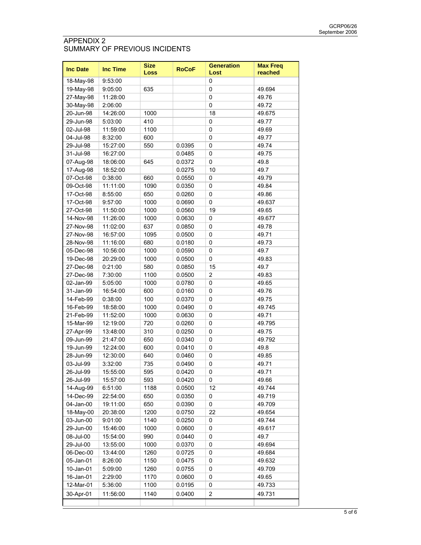# APPENDIX 2 SUMMARY OF PREVIOUS INCIDENTS

| <b>Inc Date</b> | <b>Inc Time</b> | <b>Size</b><br>Loss | <b>RoCoF</b> | <b>Generation</b><br>Lost | <b>Max Freq</b><br>reached |  |
|-----------------|-----------------|---------------------|--------------|---------------------------|----------------------------|--|
| 18-May-98       | 9:53:00         |                     |              | 0                         |                            |  |
| 19-May-98       | 9:05:00         | 635                 |              | $\mathbf 0$               | 49.694                     |  |
| 27-May-98       | 11:28:00        |                     |              | $\mathbf 0$               | 49.76                      |  |
| 30-May-98       | 2:06:00         |                     |              | $\mathbf 0$               | 49.72                      |  |
| 20-Jun-98       | 14:26:00        | 1000                |              | 18                        | 49.675                     |  |
| 29-Jun-98       | 5:03:00         | 410                 |              | $\pmb{0}$                 | 49.77                      |  |
| 02-Jul-98       | 11:59:00        | 1100                |              | $\mathbf 0$               | 49.69                      |  |
| 04-Jul-98       | 8.32:00         | 600                 |              | $\mathbf 0$               | 49.77                      |  |
| 29-Jul-98       | 15:27:00        | 550                 | 0.0395       | 0                         | 49.74                      |  |
| 31-Jul-98       | 16:27:00        |                     | 0.0485       | 0                         | 49.75                      |  |
| 07-Aug-98       | 18:06:00        | 645                 | 0.0372       | 0                         | 49.8                       |  |
| 17-Aug-98       | 18:52:00        |                     | 0.0275       | 10                        | 49.7                       |  |
| 07-Oct-98       | 0:38:00         | 660                 | 0.0550       | 0                         | 49.79                      |  |
| 09-Oct-98       | 11:11:00        | 1090                | 0.0350       | 0                         | 49.84                      |  |
| 17-Oct-98       | 8:55:00         | 650                 | 0.0260       | 0                         | 49.86                      |  |
| 17-Oct-98       | 9:57:00         | 1000                | 0.0690       | 0                         | 49.637                     |  |
| 27-Oct-98       | 11:50:00        | 1000                | 0.0560       | 19                        | 49.65                      |  |
| 14-Nov-98       | 11:26:00        | 1000                | 0.0630       | 0                         | 49.677                     |  |
| 27-Nov-98       | 11:02:00        | 637                 | 0.0850       | 0                         | 49.78                      |  |
| 27-Nov-98       | 16:57:00        | 1095                | 0.0500       | 0                         | 49.71                      |  |
| 28-Nov-98       | 11:16:00        | 680                 | 0.0180       | 0                         | 49.73                      |  |
| 05-Dec-98       | 10:56:00        | 1000                | 0.0590       | 0                         | 49.7                       |  |
|                 | 20:29:00        | 1000                |              | 0                         | 49.83                      |  |
| 19-Dec-98       | 0.21:00         |                     | 0.0500       | 15                        | 49.7                       |  |
| 27-Dec-98       |                 | 580                 | 0.0850       |                           |                            |  |
| 27-Dec-98       | 7:30:00         | 1100                | 0.0500       | $\overline{2}$            | 49.83                      |  |
| 02-Jan-99       | 5.05:00         | 1000                | 0.0780       | 0                         | 49.65                      |  |
| 31-Jan-99       | 16:54:00        | 600                 | 0.0160       | 0                         | 49.76                      |  |
| 14-Feb-99       | 0.38:00         | 100                 | 0.0370       | $\mathbf 0$               | 49.75                      |  |
| 16-Feb-99       | 18:58:00        | 1000                | 0.0490       | 0                         | 49.745                     |  |
| 21-Feb-99       | 11:52:00        | 1000                | 0.0630       | $\mathbf 0$               | 49.71                      |  |
| 15-Mar-99       | 12:19:00        | 720                 | 0.0260       | 0                         | 49.795                     |  |
| 27-Apr-99       | 13:48:00        | 310                 | 0.0250       | 0                         | 49.75                      |  |
| 09-Jun-99       | 21:47:00        | 650                 | 0.0340       | 0                         | 49.792                     |  |
| 19-Jun-99       | 12:24:00        | 600                 | 0.0410       | 0                         | 49.8                       |  |
| 28-Jun-99       | 12:30:00        | 640                 | 0.0460       | 0                         | 49.85                      |  |
| 03-Jul-99       | 3:32:00         | 735                 | 0.0490       | 0                         | 49.71                      |  |
| 26-Jul-99       | 15:55:00        | 595                 | 0.0420       | 0                         | 49.71                      |  |
| 26-Jul-99       | 15:57:00        | 593                 | 0.0420       | 0                         | 49.66                      |  |
| 14-Aug-99       | 6:51:00         | 1188                | 0.0500       | 12                        | 49.744                     |  |
| 14-Dec-99       | 22:54:00        | 650                 | 0.0350       | 0                         | 49.719                     |  |
| 04-Jan-00       | 19:11:00        | 650                 | 0.0390       | 0                         | 49.709                     |  |
| 18-May-00       | 20:38:00        | 1200                | 0.0750       | 22                        | 49.654                     |  |
| 03-Jun-00       | 9:01:00         | 1140                | 0.0250       | 0                         | 49.744                     |  |
| 29-Jun-00       | 15:46:00        | 1000                | 0.0600       | 0                         | 49.617                     |  |
| 08-Jul-00       | 15:54:00        | 990                 | 0.0440       | 0                         | 49.7                       |  |
| 29-Jul-00       | 13:55:00        | 1000                | 0.0370       | 0                         | 49.694                     |  |
| 06-Dec-00       | 13:44:00        | 1260                | 0.0725       | 0                         | 49.684                     |  |
| 05-Jan-01       | 8:26:00         | 1150                | 0.0475       | 0                         | 49.632                     |  |
| 10-Jan-01       | 5:09:00         | 1260                | 0.0755       | 0                         | 49.709                     |  |
| 16-Jan-01       | 2:29:00         | 1170                | 0.0600       | 0                         | 49.65                      |  |
| 12-Mar-01       | 5:36:00         | 1100                | 0.0195       | 0                         | 49.733                     |  |
| 30-Apr-01       | 11:56:00        | 1140                | 0.0400       | $\overline{2}$            | 49.731                     |  |
|                 |                 |                     |              |                           |                            |  |